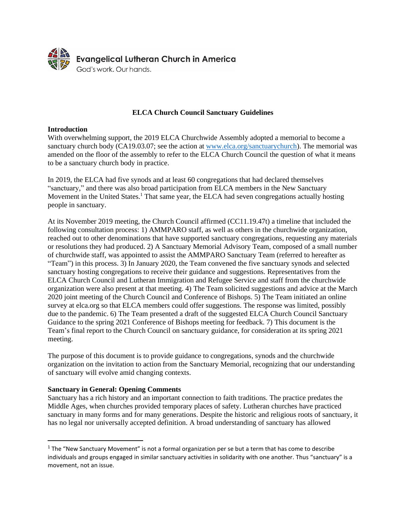

## **ELCA Church Council Sanctuary Guidelines**

# **Introduction**

With overwhelming support, the 2019 ELCA Churchwide Assembly adopted a memorial to become a sanctuary church body (CA19.03.07; see the action at [www.elca.org/sanctuarychurch\)](http://www.elca.org/sanctuarychurch). The memorial was amended on the floor of the assembly to refer to the ELCA Church Council the question of what it means to be a sanctuary church body in practice.

In 2019, the ELCA had five synods and at least 60 congregations that had declared themselves "sanctuary," and there was also broad participation from ELCA members in the New Sanctuary Movement in the United States.<sup>1</sup> That same year, the ELCA had seven congregations actually hosting people in sanctuary.

At its November 2019 meeting, the Church Council affirmed (CC11.19.47t) a timeline that included the following consultation process: 1) AMMPARO staff, as well as others in the churchwide organization, reached out to other denominations that have supported sanctuary congregations, requesting any materials or resolutions they had produced. 2) A Sanctuary Memorial Advisory Team, composed of a small number of churchwide staff, was appointed to assist the AMMPARO Sanctuary Team (referred to hereafter as "Team") in this process. 3) In January 2020, the Team convened the five sanctuary synods and selected sanctuary hosting congregations to receive their guidance and suggestions. Representatives from the ELCA Church Council and Lutheran Immigration and Refugee Service and staff from the churchwide organization were also present at that meeting. 4) The Team solicited suggestions and advice at the March 2020 joint meeting of the Church Council and Conference of Bishops. 5) The Team initiated an online survey at elca.org so that ELCA members could offer suggestions. The response was limited, possibly due to the pandemic. 6) The Team presented a draft of the suggested ELCA Church Council Sanctuary Guidance to the spring 2021 Conference of Bishops meeting for feedback. 7) This document is the Team's final report to the Church Council on sanctuary guidance, for consideration at its spring 2021 meeting.

The purpose of this document is to provide guidance to congregations, synods and the churchwide organization on the invitation to action from the Sanctuary Memorial, recognizing that our understanding of sanctuary will evolve amid changing contexts.

## **Sanctuary in General: Opening Comments**

Sanctuary has a rich history and an important connection to faith traditions. The practice predates the Middle Ages, when churches provided temporary places of safety. Lutheran churches have practiced sanctuary in many forms and for many generations. Despite the historic and religious roots of sanctuary, it has no legal nor universally accepted definition. A broad understanding of sanctuary has allowed

 $<sup>1</sup>$  The "New Sanctuary Movement" is not a formal organization per se but a term that has come to describe</sup> individuals and groups engaged in similar sanctuary activities in solidarity with one another. Thus "sanctuary" is a movement, not an issue.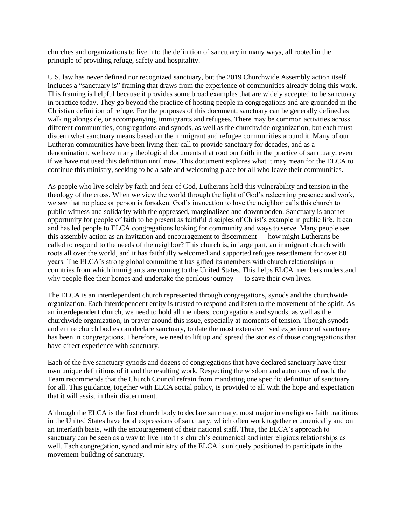churches and organizations to live into the definition of sanctuary in many ways, all rooted in the principle of providing refuge, safety and hospitality.

U.S. law has never defined nor recognized sanctuary, but the 2019 Churchwide Assembly action itself includes a "sanctuary is" framing that draws from the experience of communities already doing this work. This framing is helpful because it provides some broad examples that are widely accepted to be sanctuary in practice today. They go beyond the practice of hosting people in congregations and are grounded in the Christian definition of refuge. For the purposes of this document, sanctuary can be generally defined as walking alongside, or accompanying, immigrants and refugees. There may be common activities across different communities, congregations and synods, as well as the churchwide organization, but each must discern what sanctuary means based on the immigrant and refugee communities around it. Many of our Lutheran communities have been living their call to provide sanctuary for decades, and as a denomination, we have many theological documents that root our faith in the practice of sanctuary, even if we have not used this definition until now. This document explores what it may mean for the ELCA to continue this ministry, seeking to be a safe and welcoming place for all who leave their communities.

As people who live solely by faith and fear of God, Lutherans hold this vulnerability and tension in the theology of the cross. When we view the world through the light of God's redeeming presence and work, we see that no place or person is forsaken. God's invocation to love the neighbor calls this church to public witness and solidarity with the oppressed, marginalized and downtrodden. Sanctuary is another opportunity for people of faith to be present as faithful disciples of Christ's example in public life. It can and has led people to ELCA congregations looking for community and ways to serve. Many people see this assembly action as an invitation and encouragement to discernment — how might Lutherans be called to respond to the needs of the neighbor? This church is, in large part, an immigrant church with roots all over the world, and it has faithfully welcomed and supported refugee resettlement for over 80 years. The ELCA's strong global commitment has gifted its members with church relationships in countries from which immigrants are coming to the United States. This helps ELCA members understand why people flee their homes and undertake the perilous journey — to save their own lives.

The ELCA is an interdependent church represented through congregations, synods and the churchwide organization. Each interdependent entity is trusted to respond and listen to the movement of the spirit. As an interdependent church, we need to hold all members, congregations and synods, as well as the churchwide organization, in prayer around this issue, especially at moments of tension. Though synods and entire church bodies can declare sanctuary, to date the most extensive lived experience of sanctuary has been in congregations. Therefore, we need to lift up and spread the stories of those congregations that have direct experience with sanctuary.

Each of the five sanctuary synods and dozens of congregations that have declared sanctuary have their own unique definitions of it and the resulting work. Respecting the wisdom and autonomy of each, the Team recommends that the Church Council refrain from mandating one specific definition of sanctuary for all. This guidance, together with ELCA social policy, is provided to all with the hope and expectation that it will assist in their discernment.

Although the ELCA is the first church body to declare sanctuary, most major interreligious faith traditions in the United States have local expressions of sanctuary, which often work together ecumenically and on an interfaith basis, with the encouragement of their national staff. Thus, the ELCA's approach to sanctuary can be seen as a way to live into this church's ecumenical and interreligious relationships as well. Each congregation, synod and ministry of the ELCA is uniquely positioned to participate in the movement-building of sanctuary.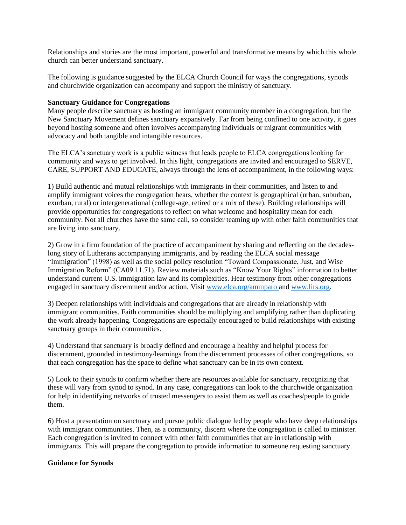Relationships and stories are the most important, powerful and transformative means by which this whole church can better understand sanctuary.

The following is guidance suggested by the ELCA Church Council for ways the congregations, synods and churchwide organization can accompany and support the ministry of sanctuary.

### **Sanctuary Guidance for Congregations**

Many people describe sanctuary as hosting an immigrant community member in a congregation, but the New Sanctuary Movement defines sanctuary expansively. Far from being confined to one activity, it goes beyond hosting someone and often involves accompanying individuals or migrant communities with advocacy and both tangible and intangible resources.

The ELCA's sanctuary work is a public witness that leads people to ELCA congregations looking for community and ways to get involved. In this light, congregations are invited and encouraged to SERVE, CARE, SUPPORT AND EDUCATE, always through the lens of accompaniment, in the following ways:

1) Build authentic and mutual relationships with immigrants in their communities, and listen to and amplify immigrant voices the congregation hears, whether the context is geographical (urban, suburban, exurban, rural) or intergenerational (college-age, retired or a mix of these). Building relationships will provide opportunities for congregations to reflect on what welcome and hospitality mean for each community. Not all churches have the same call, so consider teaming up with other faith communities that are living into sanctuary.

2) Grow in a firm foundation of the practice of accompaniment by sharing and reflecting on the decadeslong story of Lutherans accompanying immigrants, and by reading the ELCA social message "Immigration" (1998) as well as the social policy resolution "Toward Compassionate, Just, and Wise Immigration Reform" (CA09.11.71). Review materials such as "Know Your Rights" information to better understand current U.S. immigration law and its complexities. Hear testimony from other congregations engaged in sanctuary discernment and/or action. Visit [www.elca.org/ammparo](http://www.elca.org/ammparo) and [www.lirs.org.](http://www.lirs.org/)

3) Deepen relationships with individuals and congregations that are already in relationship with immigrant communities. Faith communities should be multiplying and amplifying rather than duplicating the work already happening. Congregations are especially encouraged to build relationships with existing sanctuary groups in their communities.

4) Understand that sanctuary is broadly defined and encourage a healthy and helpful process for discernment, grounded in testimony/learnings from the discernment processes of other congregations, so that each congregation has the space to define what sanctuary can be in its own context.

5) Look to their synods to confirm whether there are resources available for sanctuary, recognizing that these will vary from synod to synod. In any case, congregations can look to the churchwide organization for help in identifying networks of trusted messengers to assist them as well as coaches/people to guide them.

6) Host a presentation on sanctuary and pursue public dialogue led by people who have deep relationships with immigrant communities. Then, as a community, discern where the congregation is called to minister. Each congregation is invited to connect with other faith communities that are in relationship with immigrants. This will prepare the congregation to provide information to someone requesting sanctuary.

### **Guidance for Synods**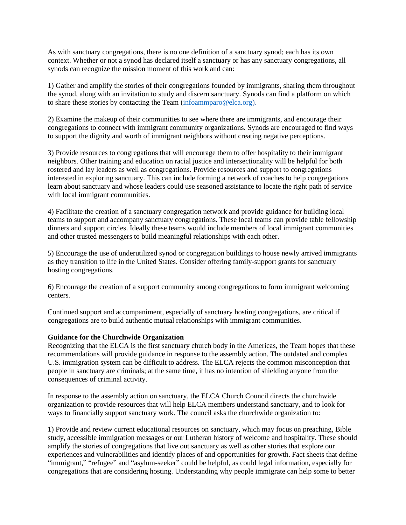As with sanctuary congregations, there is no one definition of a sanctuary synod; each has its own context. Whether or not a synod has declared itself a sanctuary or has any sanctuary congregations, all synods can recognize the mission moment of this work and can:

1) Gather and amplify the stories of their congregations founded by immigrants, sharing them throughout the synod, along with an invitation to study and discern sanctuary. Synods can find a platform on which to share these stories by contacting the Team [\(infoammparo@elca.org\)](mailto:infoammparo@elca.org).

2) Examine the makeup of their communities to see where there are immigrants, and encourage their congregations to connect with immigrant community organizations. Synods are encouraged to find ways to support the dignity and worth of immigrant neighbors without creating negative perceptions.

3) Provide resources to congregations that will encourage them to offer hospitality to their immigrant neighbors. Other training and education on racial justice and intersectionality will be helpful for both rostered and lay leaders as well as congregations. Provide resources and support to congregations interested in exploring sanctuary. This can include forming a network of coaches to help congregations learn about sanctuary and whose leaders could use seasoned assistance to locate the right path of service with local immigrant communities.

4) Facilitate the creation of a sanctuary congregation network and provide guidance for building local teams to support and accompany sanctuary congregations. These local teams can provide table fellowship dinners and support circles. Ideally these teams would include members of local immigrant communities and other trusted messengers to build meaningful relationships with each other.

5) Encourage the use of underutilized synod or congregation buildings to house newly arrived immigrants as they transition to life in the United States. Consider offering family-support grants for sanctuary hosting congregations.

6) Encourage the creation of a support community among congregations to form immigrant welcoming centers.

Continued support and accompaniment, especially of sanctuary hosting congregations, are critical if congregations are to build authentic mutual relationships with immigrant communities.

#### **Guidance for the Churchwide Organization**

Recognizing that the ELCA is the first sanctuary church body in the Americas, the Team hopes that these recommendations will provide guidance in response to the assembly action. The outdated and complex U.S. immigration system can be difficult to address. The ELCA rejects the common misconception that people in sanctuary are criminals; at the same time, it has no intention of shielding anyone from the consequences of criminal activity.

In response to the assembly action on sanctuary, the ELCA Church Council directs the churchwide organization to provide resources that will help ELCA members understand sanctuary, and to look for ways to financially support sanctuary work. The council asks the churchwide organization to:

1) Provide and review current educational resources on sanctuary, which may focus on preaching, Bible study, accessible immigration messages or our Lutheran history of welcome and hospitality. These should amplify the stories of congregations that live out sanctuary as well as other stories that explore our experiences and vulnerabilities and identify places of and opportunities for growth. Fact sheets that define "immigrant," "refugee" and "asylum-seeker" could be helpful, as could legal information, especially for congregations that are considering hosting. Understanding why people immigrate can help some to better